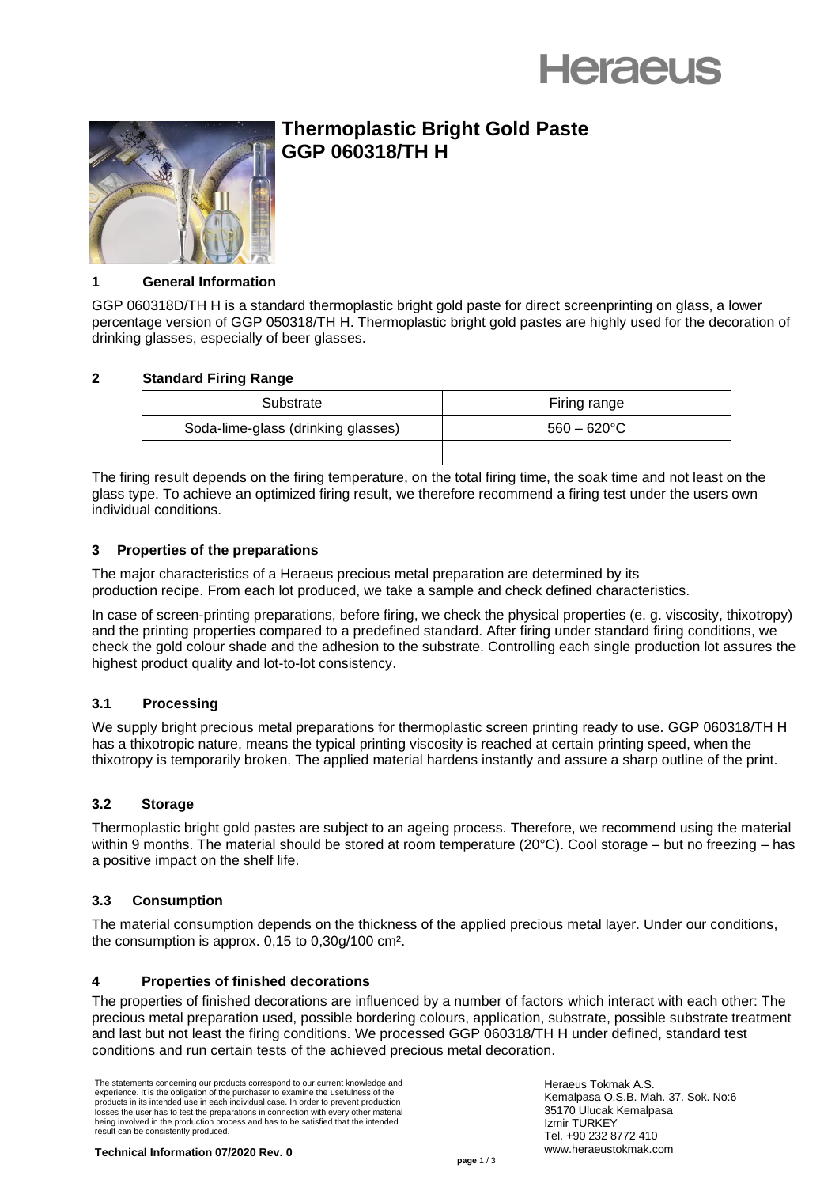



# **Thermoplastic Bright Gold Paste GGP 060318/TH H**

# **1 General Information**

GGP 060318D/TH H is a standard thermoplastic bright gold paste for direct screenprinting on glass, a lower percentage version of GGP 050318/TH H. Thermoplastic bright gold pastes are highly used for the decoration of drinking glasses, especially of beer glasses.

# **2 Standard Firing Range**

| Substrate                          | Firing range          |
|------------------------------------|-----------------------|
| Soda-lime-glass (drinking glasses) | $560 - 620^{\circ}$ C |
|                                    |                       |

The firing result depends on the firing temperature, on the total firing time, the soak time and not least on the glass type. To achieve an optimized firing result, we therefore recommend a firing test under the users own individual conditions.

# **3 Properties of the preparations**

The major characteristics of a Heraeus precious metal preparation are determined by its production recipe. From each lot produced, we take a sample and check defined characteristics.

In case of screen-printing preparations, before firing, we check the physical properties (e. g. viscosity, thixotropy) and the printing properties compared to a predefined standard. After firing under standard firing conditions, we check the gold colour shade and the adhesion to the substrate. Controlling each single production lot assures the highest product quality and lot-to-lot consistency.

# **3.1 Processing**

We supply bright precious metal preparations for thermoplastic screen printing ready to use. GGP 060318/TH H has a thixotropic nature, means the typical printing viscosity is reached at certain printing speed, when the thixotropy is temporarily broken. The applied material hardens instantly and assure a sharp outline of the print.

#### **3.2 Storage**

Thermoplastic bright gold pastes are subject to an ageing process. Therefore, we recommend using the material within 9 months. The material should be stored at room temperature (20°C). Cool storage – but no freezing – has a positive impact on the shelf life.

#### **3.3 Consumption**

The material consumption depends on the thickness of the applied precious metal layer. Under our conditions, the consumption is approx. 0,15 to 0,30g/100 cm².

#### **4 Properties of finished decorations**

The properties of finished decorations are influenced by a number of factors which interact with each other: The precious metal preparation used, possible bordering colours, application, substrate, possible substrate treatment and last but not least the firing conditions. We processed GGP 060318/TH H under defined, standard test conditions and run certain tests of the achieved precious metal decoration.

The statements concerning our products correspond to our current knowledge and experience. It is the obligation of the purchaser to examine the usefulness of the products in its intended use in each individual case. In order to prevent production losses the user has to test the preparations in connection with every other material being involved in the production process and has to be satisfied that the intended result can be consistently produced.

Heraeus Tokmak A.S. Kemalpasa O.S.B. Mah. 37. Sok. No:6 35170 Ulucak Kemalpasa Izmir TURKEY Tel. +90 232 8772 410 www.heraeustokmak.com

**Technical Information 07/2020 Rev. 0**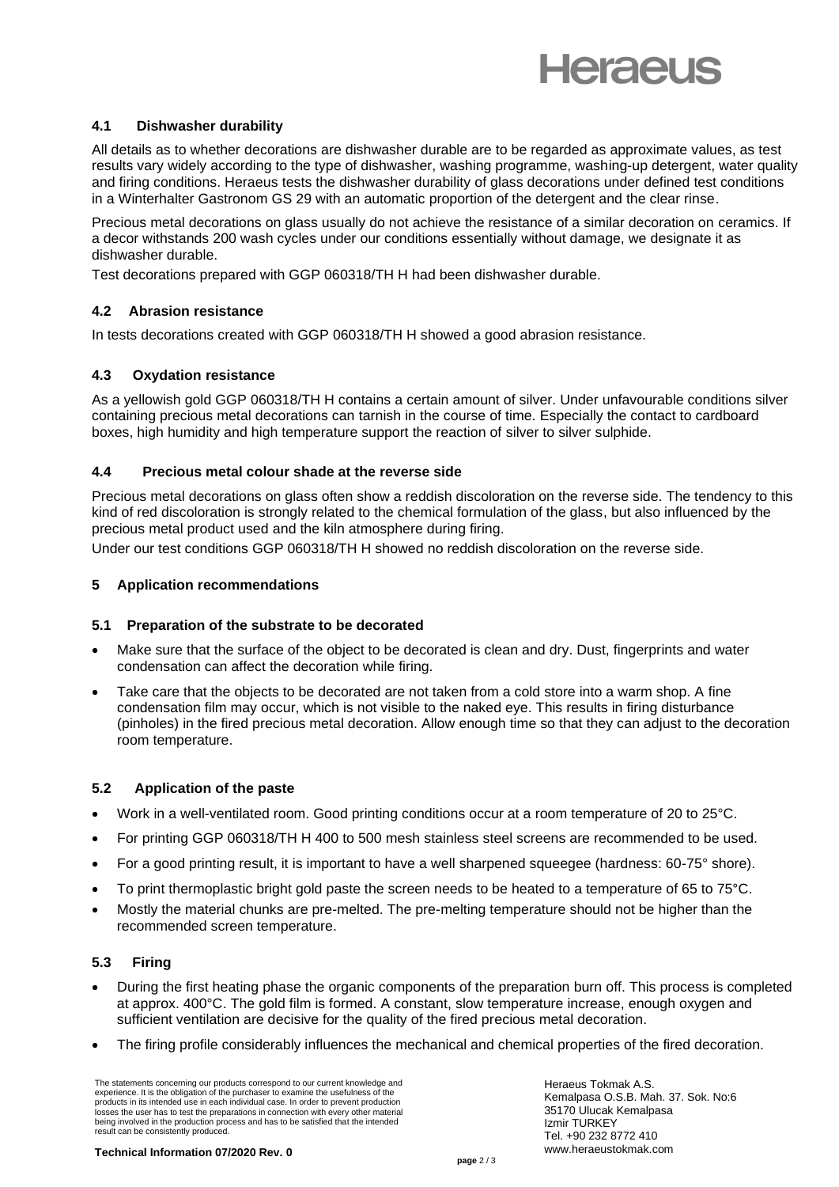

# **4.1 Dishwasher durability**

All details as to whether decorations are dishwasher durable are to be regarded as approximate values, as test results vary widely according to the type of dishwasher, washing programme, washing-up detergent, water quality and firing conditions. Heraeus tests the dishwasher durability of glass decorations under defined test conditions in a Winterhalter Gastronom GS 29 with an automatic proportion of the detergent and the clear rinse.

Precious metal decorations on glass usually do not achieve the resistance of a similar decoration on ceramics. If a decor withstands 200 wash cycles under our conditions essentially without damage, we designate it as dishwasher durable.

Test decorations prepared with GGP 060318/TH H had been dishwasher durable.

# **4.2 Abrasion resistance**

In tests decorations created with GGP 060318/TH H showed a good abrasion resistance.

# **4.3 Oxydation resistance**

As a yellowish gold GGP 060318/TH H contains a certain amount of silver. Under unfavourable conditions silver containing precious metal decorations can tarnish in the course of time. Especially the contact to cardboard boxes, high humidity and high temperature support the reaction of silver to silver sulphide.

#### **4.4 Precious metal colour shade at the reverse side**

Precious metal decorations on glass often show a reddish discoloration on the reverse side. The tendency to this kind of red discoloration is strongly related to the chemical formulation of the glass, but also influenced by the precious metal product used and the kiln atmosphere during firing.

Under our test conditions GGP 060318/TH H showed no reddish discoloration on the reverse side.

#### **5 Application recommendations**

#### **5.1 Preparation of the substrate to be decorated**

- Make sure that the surface of the object to be decorated is clean and dry. Dust, fingerprints and water condensation can affect the decoration while firing.
- Take care that the objects to be decorated are not taken from a cold store into a warm shop. A fine condensation film may occur, which is not visible to the naked eye. This results in firing disturbance (pinholes) in the fired precious metal decoration. Allow enough time so that they can adjust to the decoration room temperature.

#### **5.2** Application of the paste

- Work in a well-ventilated room. Good printing conditions occur at a room temperature of 20 to 25°C.
- For printing GGP 060318/TH H 400 to 500 mesh stainless steel screens are recommended to be used.
- For a good printing result, it is important to have a well sharpened squeegee (hardness: 60-75° shore).
- To print thermoplastic bright gold paste the screen needs to be heated to a temperature of 65 to 75°C.
- Mostly the material chunks are pre-melted. The pre-melting temperature should not be higher than the recommended screen temperature.

#### **5.3 Firing**

- During the first heating phase the organic components of the preparation burn off. This process is completed at approx. 400°C. The gold film is formed. A constant, slow temperature increase, enough oxygen and sufficient ventilation are decisive for the quality of the fired precious metal decoration.
- The firing profile considerably influences the mechanical and chemical properties of the fired decoration.

The statements concerning our products correspond to our current knowledge and experience. It is the obligation of the purchaser to examine the usefulness of the products in its intended use in each individual case. In order to prevent production losses the user has to test the preparations in connection with every other material being involved in the production process and has to be satisfied that the intended result can be consistently produced.